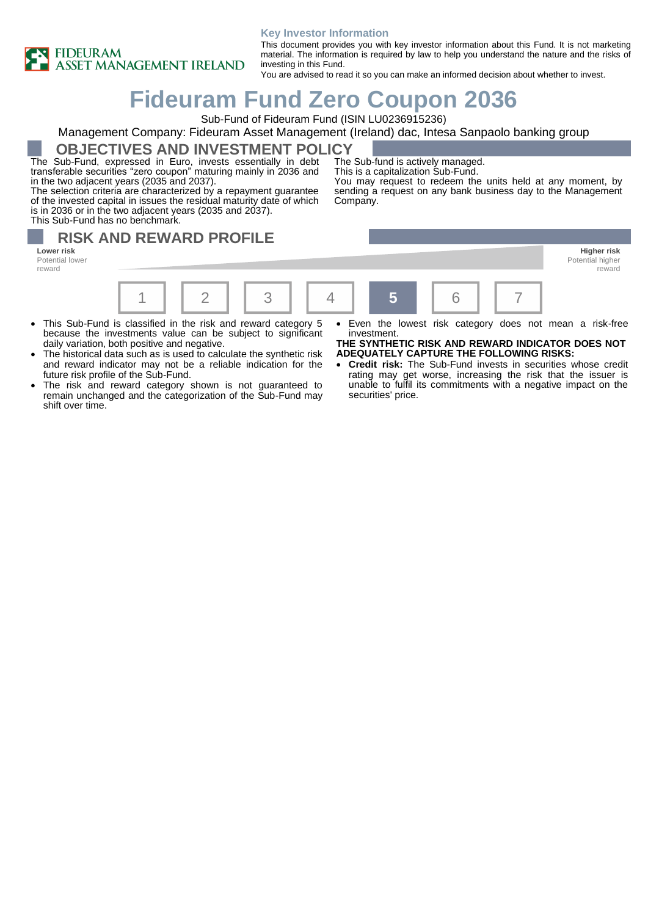

#### **Key Investor Information**

This document provides you with key investor information about this Fund. It is not marketing material. The information is required by law to help you understand the nature and the risks of investing in this Fund.

You are advised to read it so you can make an informed decision about whether to invest.

# **Fideuram Fund Zero Coupon 2036**

Sub-Fund of Fideuram Fund (ISIN LU0236915236)

### Management Company: Fideuram Asset Management (Ireland) dac, Intesa Sanpaolo banking group

**OBJECTIVES AND INVESTMENT POLICY**

The Sub-Fund, expressed in Euro, invests essentially in debt transferable securities "zero coupon" maturing mainly in 2036 and in the two adjacent years (2035 and 2037).

The selection criteria are characterized by a repayment guarantee of the invested capital in issues the residual maturity date of which is in 2036 or in the two adjacent years (2035 and 2037). This Sub-Fund has no benchmark.

The Sub-fund is actively managed. This is a capitalization Sub-Fund.

You may request to redeem the units held at any moment, by sending a request on any bank business day to the Management Company.

### **RISK AND REWARD PROFILE Lower risk Higher risk**

Potential lower reward



- This Sub-Fund is classified in the risk and reward category 5 because the investments value can be subject to significant daily variation, both positive and negative.
- The historical data such as is used to calculate the synthetic risk and reward indicator may not be a reliable indication for the future risk profile of the Sub-Fund.
- The risk and reward category shown is not guaranteed to remain unchanged and the categorization of the Sub-Fund may shift over time.
- Even the lowest risk category does not mean a risk-free investment.

**THE SYNTHETIC RISK AND REWARD INDICATOR DOES NOT ADEQUATELY CAPTURE THE FOLLOWING RISKS:**

• **Credit risk:** The Sub-Fund invests in securities whose credit rating may get worse, increasing the risk that the issuer is unable to fulfil its commitments with a negative impact on the securities' price.